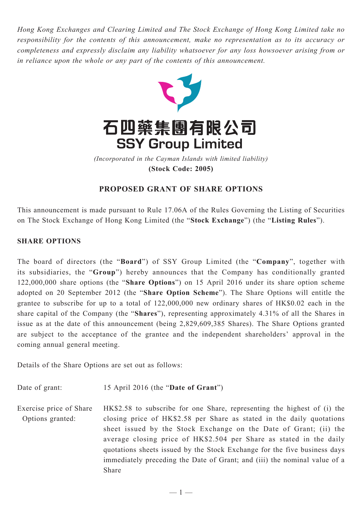*Hong Kong Exchanges and Clearing Limited and The Stock Exchange of Hong Kong Limited take no responsibility for the contents of this announcement, make no representation as to its accuracy or completeness and expressly disclaim any liability whatsoever for any loss howsoever arising from or in reliance upon the whole or any part of the contents of this announcement.*



**(Stock Code: 2005)** *(Incorporated in the Cayman Islands with limited liability)* 

## **PROPOSED GRANT OF SHARE OPTIONS**

This announcement is made pursuant to Rule 17.06A of the Rules Governing the Listing of Securities on The Stock Exchange of Hong Kong Limited (the "**Stock Exchange**") (the "**Listing Rules**").

## **SHARE OPTIONS**

The board of directors (the "**Board**") of SSY Group Limited (the "**Company**", together with its subsidiaries, the "**Group**") hereby announces that the Company has conditionally granted 122,000,000 share options (the "**Share Options**") on 15 April 2016 under its share option scheme adopted on 20 September 2012 (the "**Share Option Scheme**"). The Share Options will entitle the grantee to subscribe for up to a total of 122,000,000 new ordinary shares of HK\$0.02 each in the share capital of the Company (the "**Shares**"), representing approximately 4.31% of all the Shares in issue as at the date of this announcement (being 2,829,609,385 Shares). The Share Options granted are subject to the acceptance of the grantee and the independent shareholders' approval in the coming annual general meeting.

Details of the Share Options are set out as follows:

Date of grant: 15 April 2016 (the "**Date of Grant**")

Exercise price of Share Options granted: HK\$2.58 to subscribe for one Share, representing the highest of (i) the closing price of HK\$2.58 per Share as stated in the daily quotations sheet issued by the Stock Exchange on the Date of Grant; (ii) the average closing price of HK\$2.504 per Share as stated in the daily quotations sheets issued by the Stock Exchange for the five business days immediately preceding the Date of Grant; and (iii) the nominal value of a Share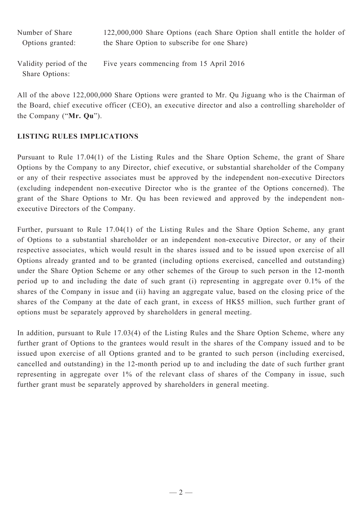| Number of Share                          | 122,000,000 Share Options (each Share Option shall entitle the holder of |
|------------------------------------------|--------------------------------------------------------------------------|
| Options granted:                         | the Share Option to subscribe for one Share)                             |
| Validity period of the<br>Share Options: | Five years commencing from 15 April 2016                                 |

All of the above 122,000,000 Share Options were granted to Mr. Qu Jiguang who is the Chairman of the Board, chief executive officer (CEO), an executive director and also a controlling shareholder of the Company ("**Mr. Qu**").

## **LISTING RULES IMPLICATIONS**

Pursuant to Rule 17.04(1) of the Listing Rules and the Share Option Scheme, the grant of Share Options by the Company to any Director, chief executive, or substantial shareholder of the Company or any of their respective associates must be approved by the independent non-executive Directors (excluding independent non-executive Director who is the grantee of the Options concerned). The grant of the Share Options to Mr. Qu has been reviewed and approved by the independent nonexecutive Directors of the Company.

Further, pursuant to Rule 17.04(1) of the Listing Rules and the Share Option Scheme, any grant of Options to a substantial shareholder or an independent non-executive Director, or any of their respective associates, which would result in the shares issued and to be issued upon exercise of all Options already granted and to be granted (including options exercised, cancelled and outstanding) under the Share Option Scheme or any other schemes of the Group to such person in the 12-month period up to and including the date of such grant (i) representing in aggregate over 0.1% of the shares of the Company in issue and (ii) having an aggregate value, based on the closing price of the shares of the Company at the date of each grant, in excess of HK\$5 million, such further grant of options must be separately approved by shareholders in general meeting.

In addition, pursuant to Rule 17.03(4) of the Listing Rules and the Share Option Scheme, where any further grant of Options to the grantees would result in the shares of the Company issued and to be issued upon exercise of all Options granted and to be granted to such person (including exercised, cancelled and outstanding) in the 12-month period up to and including the date of such further grant representing in aggregate over 1% of the relevant class of shares of the Company in issue, such further grant must be separately approved by shareholders in general meeting.